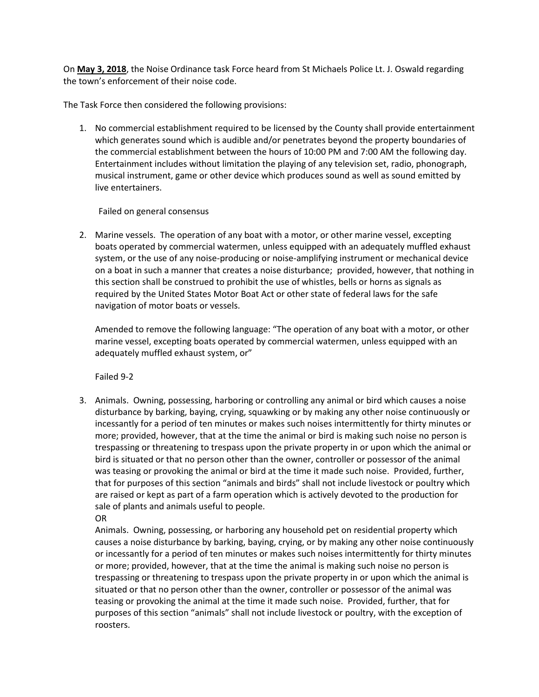On **May 3, 2018**, the Noise Ordinance task Force heard from St Michaels Police Lt. J. Oswald regarding the town's enforcement of their noise code.

The Task Force then considered the following provisions:

1. No commercial establishment required to be licensed by the County shall provide entertainment which generates sound which is audible and/or penetrates beyond the property boundaries of the commercial establishment between the hours of 10:00 PM and 7:00 AM the following day. Entertainment includes without limitation the playing of any television set, radio, phonograph, musical instrument, game or other device which produces sound as well as sound emitted by live entertainers.

## Failed on general consensus

2. Marine vessels. The operation of any boat with a motor, or other marine vessel, excepting boats operated by commercial watermen, unless equipped with an adequately muffled exhaust system, or the use of any noise-producing or noise-amplifying instrument or mechanical device on a boat in such a manner that creates a noise disturbance; provided, however, that nothing in this section shall be construed to prohibit the use of whistles, bells or horns as signals as required by the United States Motor Boat Act or other state of federal laws for the safe navigation of motor boats or vessels.

Amended to remove the following language: "The operation of any boat with a motor, or other marine vessel, excepting boats operated by commercial watermen, unless equipped with an adequately muffled exhaust system, or"

Failed 9-2

3. Animals. Owning, possessing, harboring or controlling any animal or bird which causes a noise disturbance by barking, baying, crying, squawking or by making any other noise continuously or incessantly for a period of ten minutes or makes such noises intermittently for thirty minutes or more; provided, however, that at the time the animal or bird is making such noise no person is trespassing or threatening to trespass upon the private property in or upon which the animal or bird is situated or that no person other than the owner, controller or possessor of the animal was teasing or provoking the animal or bird at the time it made such noise. Provided, further, that for purposes of this section "animals and birds" shall not include livestock or poultry which are raised or kept as part of a farm operation which is actively devoted to the production for sale of plants and animals useful to people. OR

Animals. Owning, possessing, or harboring any household pet on residential property which causes a noise disturbance by barking, baying, crying, or by making any other noise continuously or incessantly for a period of ten minutes or makes such noises intermittently for thirty minutes or more; provided, however, that at the time the animal is making such noise no person is trespassing or threatening to trespass upon the private property in or upon which the animal is situated or that no person other than the owner, controller or possessor of the animal was teasing or provoking the animal at the time it made such noise. Provided, further, that for purposes of this section "animals" shall not include livestock or poultry, with the exception of roosters.